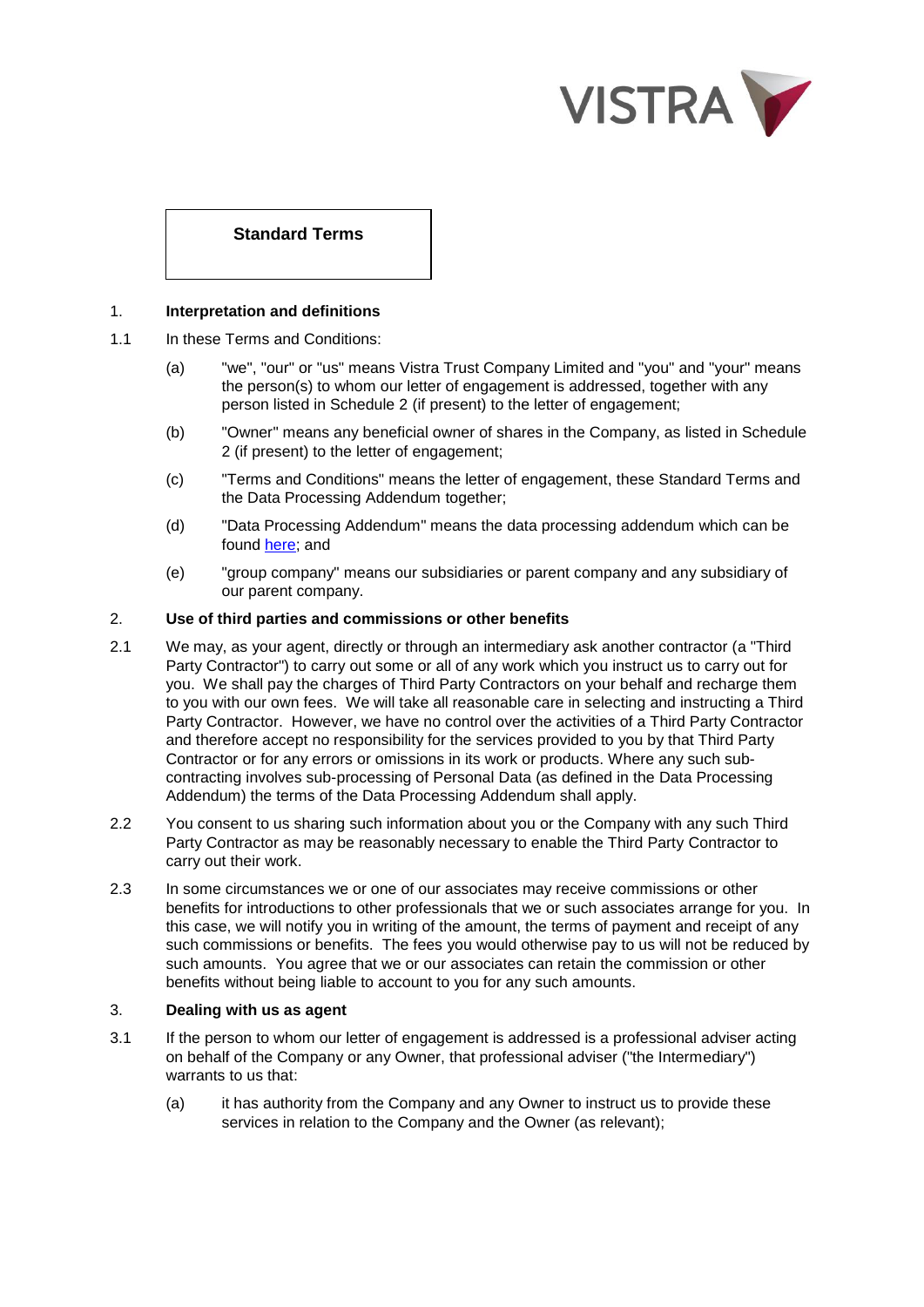

# **Standard Terms**

## 1. **Interpretation and definitions**

- 1.1 In these Terms and Conditions:
	- (a) "we", "our" or "us" means Vistra Trust Company Limited and "you" and "your" means the person(s) to whom our letter of engagement is addressed, together with any person listed in Schedule 2 (if present) to the letter of engagement;
	- (b) "Owner" means any beneficial owner of shares in the Company, as listed in Schedule 2 (if present) to the letter of engagement;
	- (c) "Terms and Conditions" means the letter of engagement, these Standard Terms and the Data Processing Addendum together;
	- (d) "Data Processing Addendum" means the data processing addendum which can be found [here;](https://businessportal.vistra.com/documents/793163/0/VTC+Data+Processing+Addendum/2dc22204-8188-8ce2-f864-ad3fdc1e58a8) and
	- (e) "group company" means our subsidiaries or parent company and any subsidiary of our parent company.

## 2. **Use of third parties and commissions or other benefits**

- 2.1 We may, as your agent, directly or through an intermediary ask another contractor (a "Third Party Contractor") to carry out some or all of any work which you instruct us to carry out for you. We shall pay the charges of Third Party Contractors on your behalf and recharge them to you with our own fees. We will take all reasonable care in selecting and instructing a Third Party Contractor. However, we have no control over the activities of a Third Party Contractor and therefore accept no responsibility for the services provided to you by that Third Party Contractor or for any errors or omissions in its work or products. Where any such subcontracting involves sub-processing of Personal Data (as defined in the Data Processing Addendum) the terms of the Data Processing Addendum shall apply.
- 2.2 You consent to us sharing such information about you or the Company with any such Third Party Contractor as may be reasonably necessary to enable the Third Party Contractor to carry out their work.
- 2.3 In some circumstances we or one of our associates may receive commissions or other benefits for introductions to other professionals that we or such associates arrange for you. In this case, we will notify you in writing of the amount, the terms of payment and receipt of any such commissions or benefits. The fees you would otherwise pay to us will not be reduced by such amounts. You agree that we or our associates can retain the commission or other benefits without being liable to account to you for any such amounts.

## 3. **Dealing with us as agent**

- 3.1 If the person to whom our letter of engagement is addressed is a professional adviser acting on behalf of the Company or any Owner, that professional adviser ("the Intermediary") warrants to us that:
	- (a) it has authority from the Company and any Owner to instruct us to provide these services in relation to the Company and the Owner (as relevant);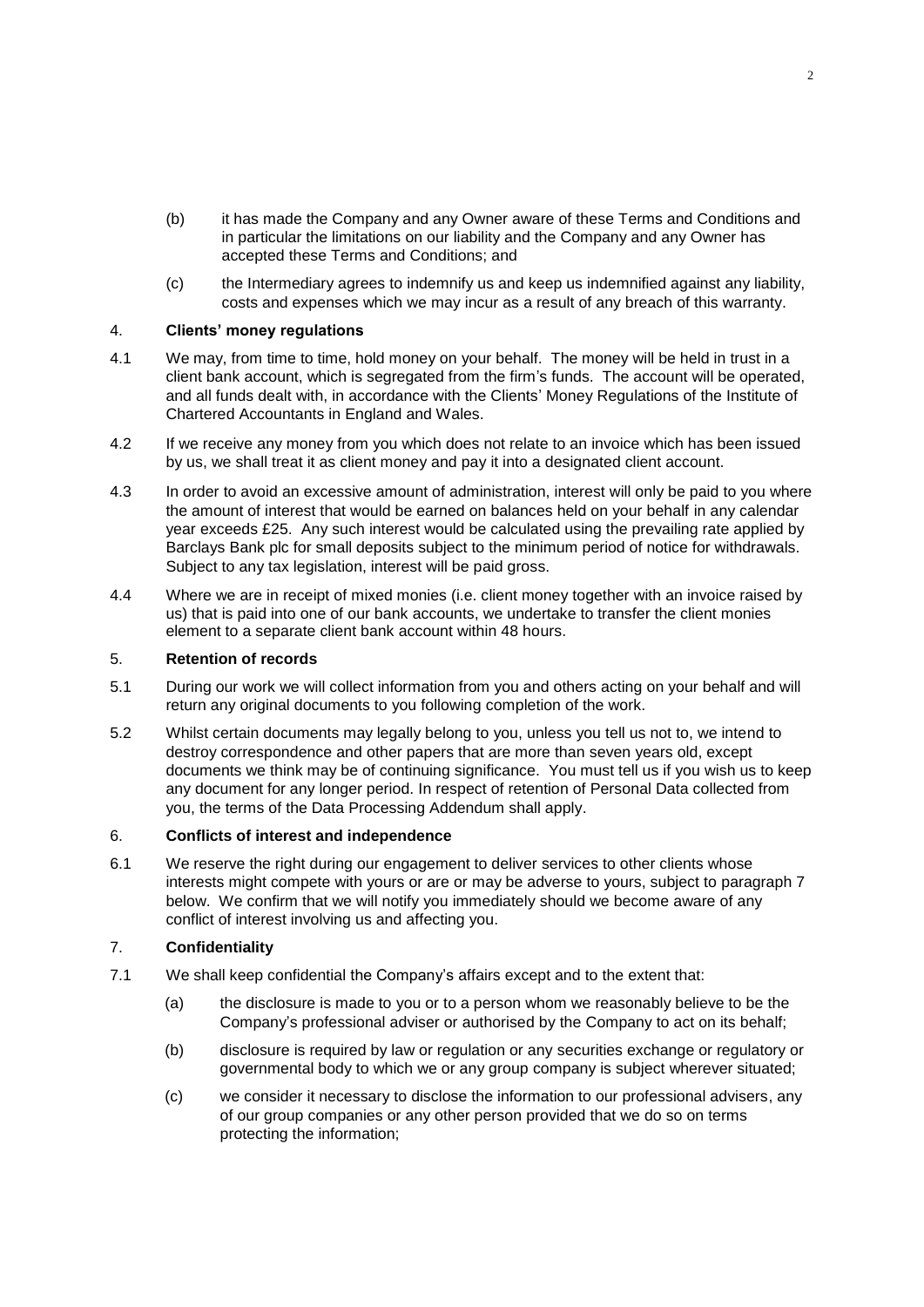- (b) it has made the Company and any Owner aware of these Terms and Conditions and in particular the limitations on our liability and the Company and any Owner has accepted these Terms and Conditions; and
- (c) the Intermediary agrees to indemnify us and keep us indemnified against any liability, costs and expenses which we may incur as a result of any breach of this warranty.

## 4. **Clients' money regulations**

- 4.1 We may, from time to time, hold money on your behalf. The money will be held in trust in a client bank account, which is segregated from the firm's funds. The account will be operated, and all funds dealt with, in accordance with the Clients' Money Regulations of the Institute of Chartered Accountants in England and Wales.
- 4.2 If we receive any money from you which does not relate to an invoice which has been issued by us, we shall treat it as client money and pay it into a designated client account.
- 4.3 In order to avoid an excessive amount of administration, interest will only be paid to you where the amount of interest that would be earned on balances held on your behalf in any calendar year exceeds £25. Any such interest would be calculated using the prevailing rate applied by Barclays Bank plc for small deposits subject to the minimum period of notice for withdrawals. Subject to any tax legislation, interest will be paid gross.
- 4.4 Where we are in receipt of mixed monies (i.e. client money together with an invoice raised by us) that is paid into one of our bank accounts, we undertake to transfer the client monies element to a separate client bank account within 48 hours.

#### 5. **Retention of records**

- 5.1 During our work we will collect information from you and others acting on your behalf and will return any original documents to you following completion of the work.
- 5.2 Whilst certain documents may legally belong to you, unless you tell us not to, we intend to destroy correspondence and other papers that are more than seven years old, except documents we think may be of continuing significance. You must tell us if you wish us to keep any document for any longer period. In respect of retention of Personal Data collected from you, the terms of the Data Processing Addendum shall apply.

#### 6. **Conflicts of interest and independence**

6.1 We reserve the right during our engagement to deliver services to other clients whose interests might compete with yours or are or may be adverse to yours, subject to paragraph 7 below. We confirm that we will notify you immediately should we become aware of any conflict of interest involving us and affecting you.

# 7. **Confidentiality**

- 7.1 We shall keep confidential the Company's affairs except and to the extent that:
	- (a) the disclosure is made to you or to a person whom we reasonably believe to be the Company's professional adviser or authorised by the Company to act on its behalf;
	- (b) disclosure is required by law or regulation or any securities exchange or regulatory or governmental body to which we or any group company is subject wherever situated;
	- (c) we consider it necessary to disclose the information to our professional advisers, any of our group companies or any other person provided that we do so on terms protecting the information;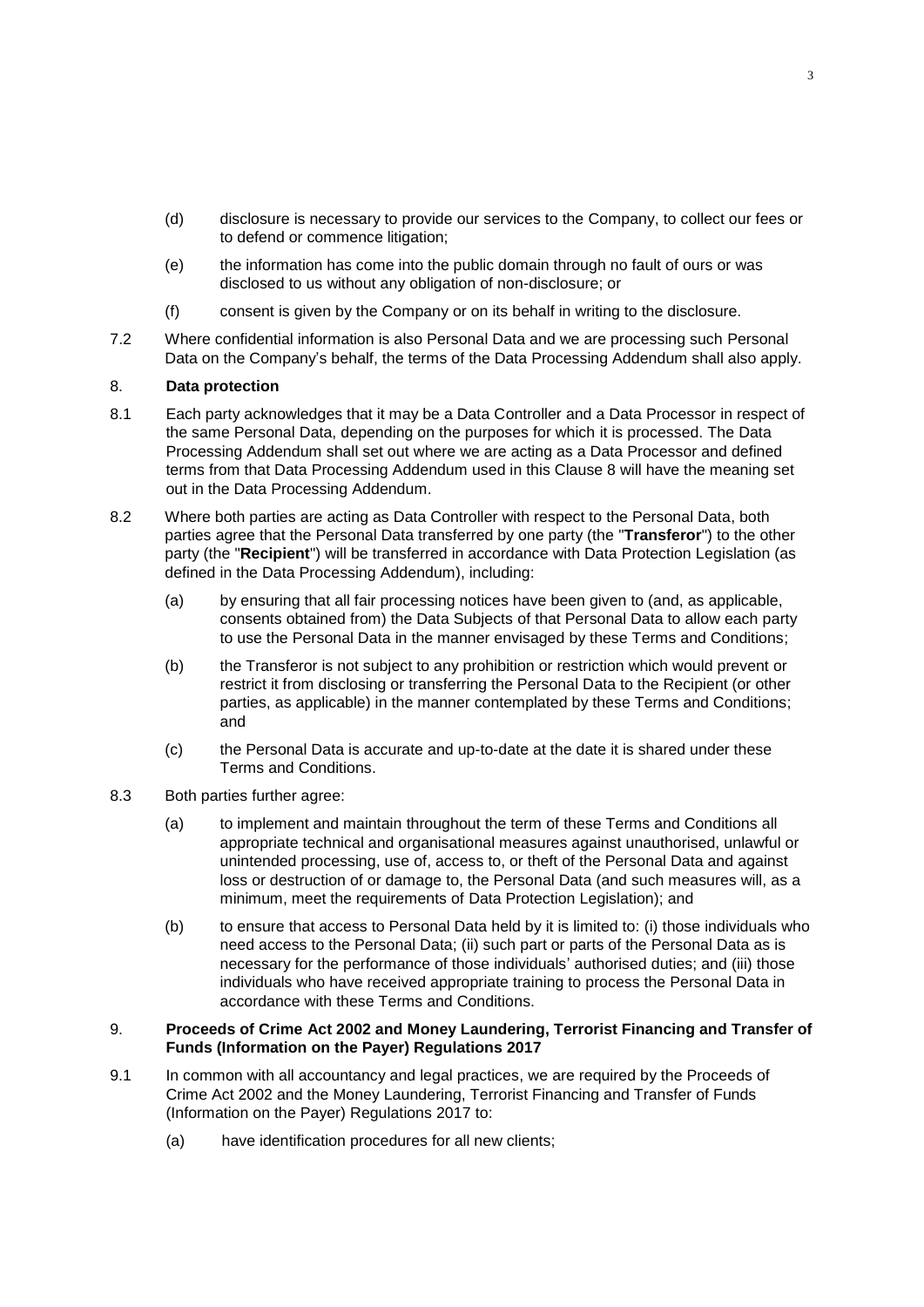- (d) disclosure is necessary to provide our services to the Company, to collect our fees or to defend or commence litigation;
- (e) the information has come into the public domain through no fault of ours or was disclosed to us without any obligation of non-disclosure; or
- (f) consent is given by the Company or on its behalf in writing to the disclosure.
- 7.2 Where confidential information is also Personal Data and we are processing such Personal Data on the Company's behalf, the terms of the Data Processing Addendum shall also apply.

# 8. **Data protection**

- 8.1 Each party acknowledges that it may be a Data Controller and a Data Processor in respect of the same Personal Data, depending on the purposes for which it is processed. The Data Processing Addendum shall set out where we are acting as a Data Processor and defined terms from that Data Processing Addendum used in this Clause 8 will have the meaning set out in the Data Processing Addendum.
- 8.2 Where both parties are acting as Data Controller with respect to the Personal Data, both parties agree that the Personal Data transferred by one party (the "**Transferor**") to the other party (the "**Recipient**") will be transferred in accordance with Data Protection Legislation (as defined in the Data Processing Addendum), including:
	- (a) by ensuring that all fair processing notices have been given to (and, as applicable, consents obtained from) the Data Subjects of that Personal Data to allow each party to use the Personal Data in the manner envisaged by these Terms and Conditions;
	- (b) the Transferor is not subject to any prohibition or restriction which would prevent or restrict it from disclosing or transferring the Personal Data to the Recipient (or other parties, as applicable) in the manner contemplated by these Terms and Conditions; and
	- (c) the Personal Data is accurate and up-to-date at the date it is shared under these Terms and Conditions.
- 8.3 Both parties further agree:
	- (a) to implement and maintain throughout the term of these Terms and Conditions all appropriate technical and organisational measures against unauthorised, unlawful or unintended processing, use of, access to, or theft of the Personal Data and against loss or destruction of or damage to, the Personal Data (and such measures will, as a minimum, meet the requirements of Data Protection Legislation); and
	- (b) to ensure that access to Personal Data held by it is limited to: (i) those individuals who need access to the Personal Data; (ii) such part or parts of the Personal Data as is necessary for the performance of those individuals' authorised duties; and (iii) those individuals who have received appropriate training to process the Personal Data in accordance with these Terms and Conditions.

## 9. **Proceeds of Crime Act 2002 and Money Laundering, Terrorist Financing and Transfer of Funds (Information on the Payer) Regulations 2017**

- 9.1 In common with all accountancy and legal practices, we are required by the Proceeds of Crime Act 2002 and the Money Laundering, Terrorist Financing and Transfer of Funds (Information on the Payer) Regulations 2017 to:
	- (a) have identification procedures for all new clients;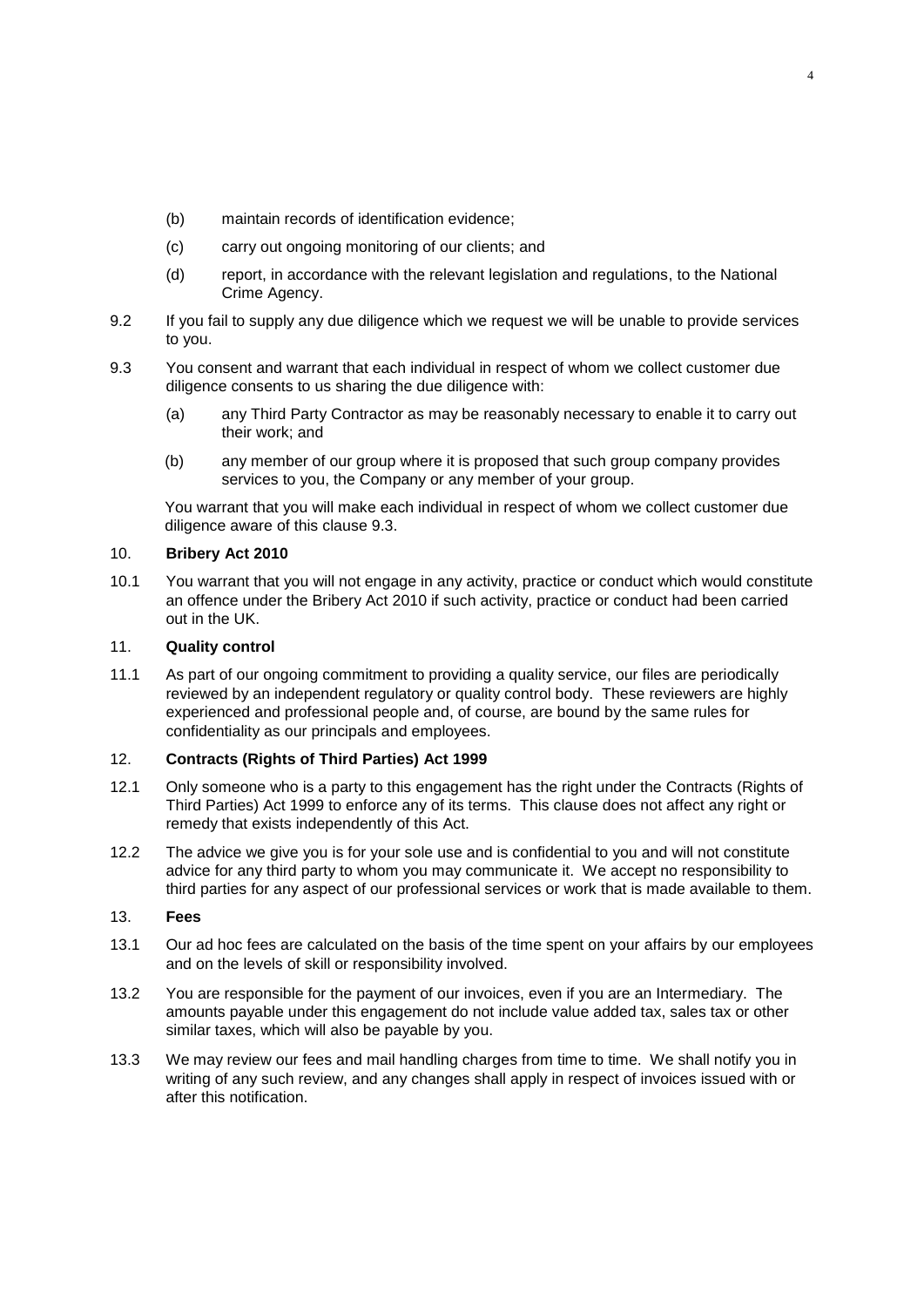- (b) maintain records of identification evidence;
- (c) carry out ongoing monitoring of our clients; and
- (d) report, in accordance with the relevant legislation and regulations, to the National Crime Agency.
- 9.2 If you fail to supply any due diligence which we request we will be unable to provide services to you.
- 9.3 You consent and warrant that each individual in respect of whom we collect customer due diligence consents to us sharing the due diligence with:
	- (a) any Third Party Contractor as may be reasonably necessary to enable it to carry out their work; and
	- (b) any member of our group where it is proposed that such group company provides services to you, the Company or any member of your group.

You warrant that you will make each individual in respect of whom we collect customer due diligence aware of this clause 9.3.

## 10. **Bribery Act 2010**

10.1 You warrant that you will not engage in any activity, practice or conduct which would constitute an offence under the Bribery Act 2010 if such activity, practice or conduct had been carried out in the UK.

#### 11. **Quality control**

11.1 As part of our ongoing commitment to providing a quality service, our files are periodically reviewed by an independent regulatory or quality control body. These reviewers are highly experienced and professional people and, of course, are bound by the same rules for confidentiality as our principals and employees.

# 12. **Contracts (Rights of Third Parties) Act 1999**

- 12.1 Only someone who is a party to this engagement has the right under the Contracts (Rights of Third Parties) Act 1999 to enforce any of its terms. This clause does not affect any right or remedy that exists independently of this Act.
- 12.2 The advice we give you is for your sole use and is confidential to you and will not constitute advice for any third party to whom you may communicate it. We accept no responsibility to third parties for any aspect of our professional services or work that is made available to them.

## 13. **Fees**

- 13.1 Our ad hoc fees are calculated on the basis of the time spent on your affairs by our employees and on the levels of skill or responsibility involved.
- 13.2 You are responsible for the payment of our invoices, even if you are an Intermediary. The amounts payable under this engagement do not include value added tax, sales tax or other similar taxes, which will also be payable by you.
- 13.3 We may review our fees and mail handling charges from time to time. We shall notify you in writing of any such review, and any changes shall apply in respect of invoices issued with or after this notification.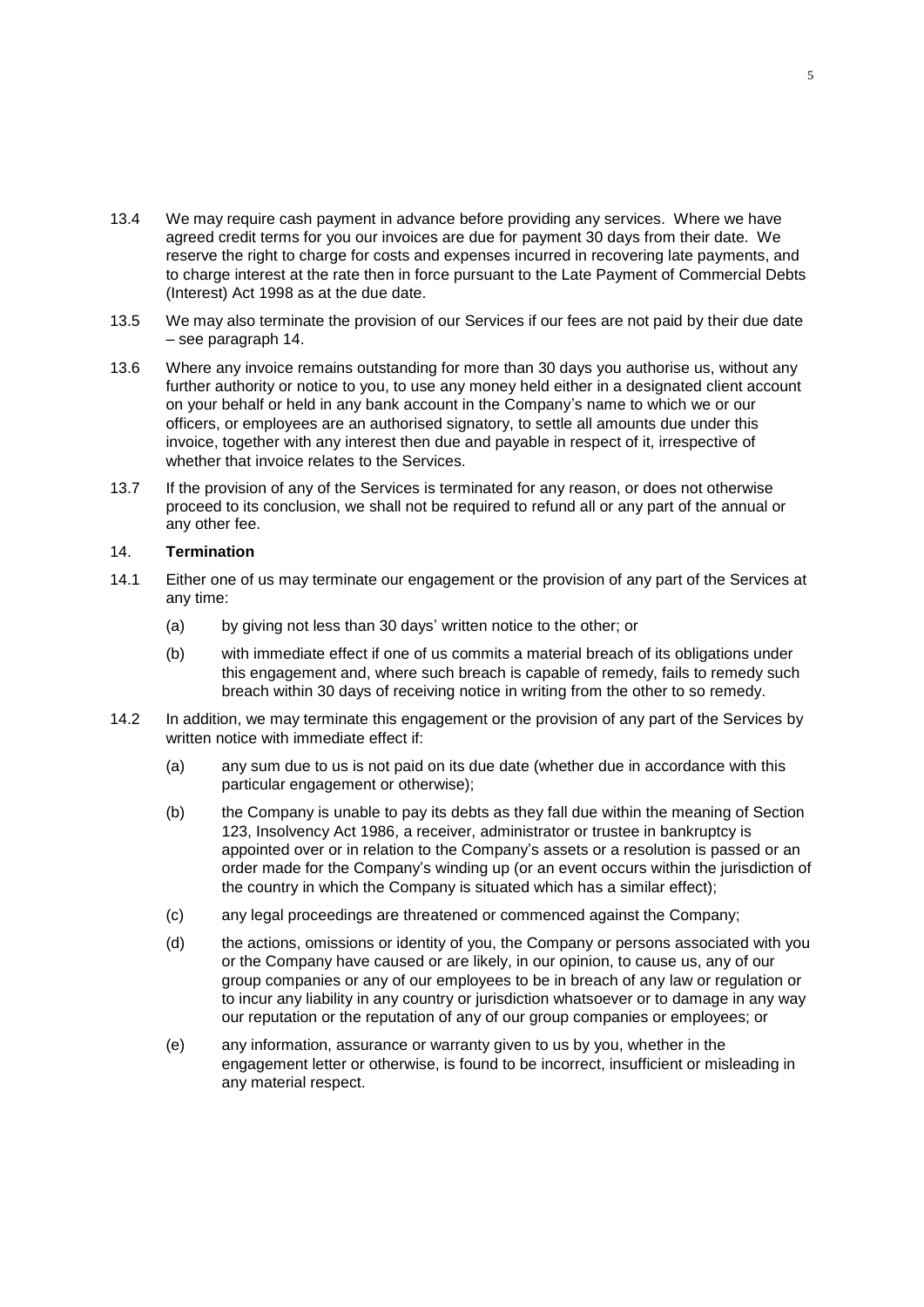- 13.4 We may require cash payment in advance before providing any services. Where we have agreed credit terms for you our invoices are due for payment 30 days from their date. We reserve the right to charge for costs and expenses incurred in recovering late payments, and to charge interest at the rate then in force pursuant to the Late Payment of Commercial Debts (Interest) Act 1998 as at the due date.
- 13.5 We may also terminate the provision of our Services if our fees are not paid by their due date – see paragraph 14.
- 13.6 Where any invoice remains outstanding for more than 30 days you authorise us, without any further authority or notice to you, to use any money held either in a designated client account on your behalf or held in any bank account in the Company's name to which we or our officers, or employees are an authorised signatory, to settle all amounts due under this invoice, together with any interest then due and payable in respect of it, irrespective of whether that invoice relates to the Services.
- 13.7 If the provision of any of the Services is terminated for any reason, or does not otherwise proceed to its conclusion, we shall not be required to refund all or any part of the annual or any other fee.

#### 14. **Termination**

- 14.1 Either one of us may terminate our engagement or the provision of any part of the Services at any time:
	- (a) by giving not less than 30 days' written notice to the other; or
	- (b) with immediate effect if one of us commits a material breach of its obligations under this engagement and, where such breach is capable of remedy, fails to remedy such breach within 30 days of receiving notice in writing from the other to so remedy.
- 14.2 In addition, we may terminate this engagement or the provision of any part of the Services by written notice with immediate effect if:
	- (a) any sum due to us is not paid on its due date (whether due in accordance with this particular engagement or otherwise);
	- (b) the Company is unable to pay its debts as they fall due within the meaning of Section 123, Insolvency Act 1986, a receiver, administrator or trustee in bankruptcy is appointed over or in relation to the Company's assets or a resolution is passed or an order made for the Company's winding up (or an event occurs within the jurisdiction of the country in which the Company is situated which has a similar effect);
	- (c) any legal proceedings are threatened or commenced against the Company;
	- (d) the actions, omissions or identity of you, the Company or persons associated with you or the Company have caused or are likely, in our opinion, to cause us, any of our group companies or any of our employees to be in breach of any law or regulation or to incur any liability in any country or jurisdiction whatsoever or to damage in any way our reputation or the reputation of any of our group companies or employees; or
	- (e) any information, assurance or warranty given to us by you, whether in the engagement letter or otherwise, is found to be incorrect, insufficient or misleading in any material respect.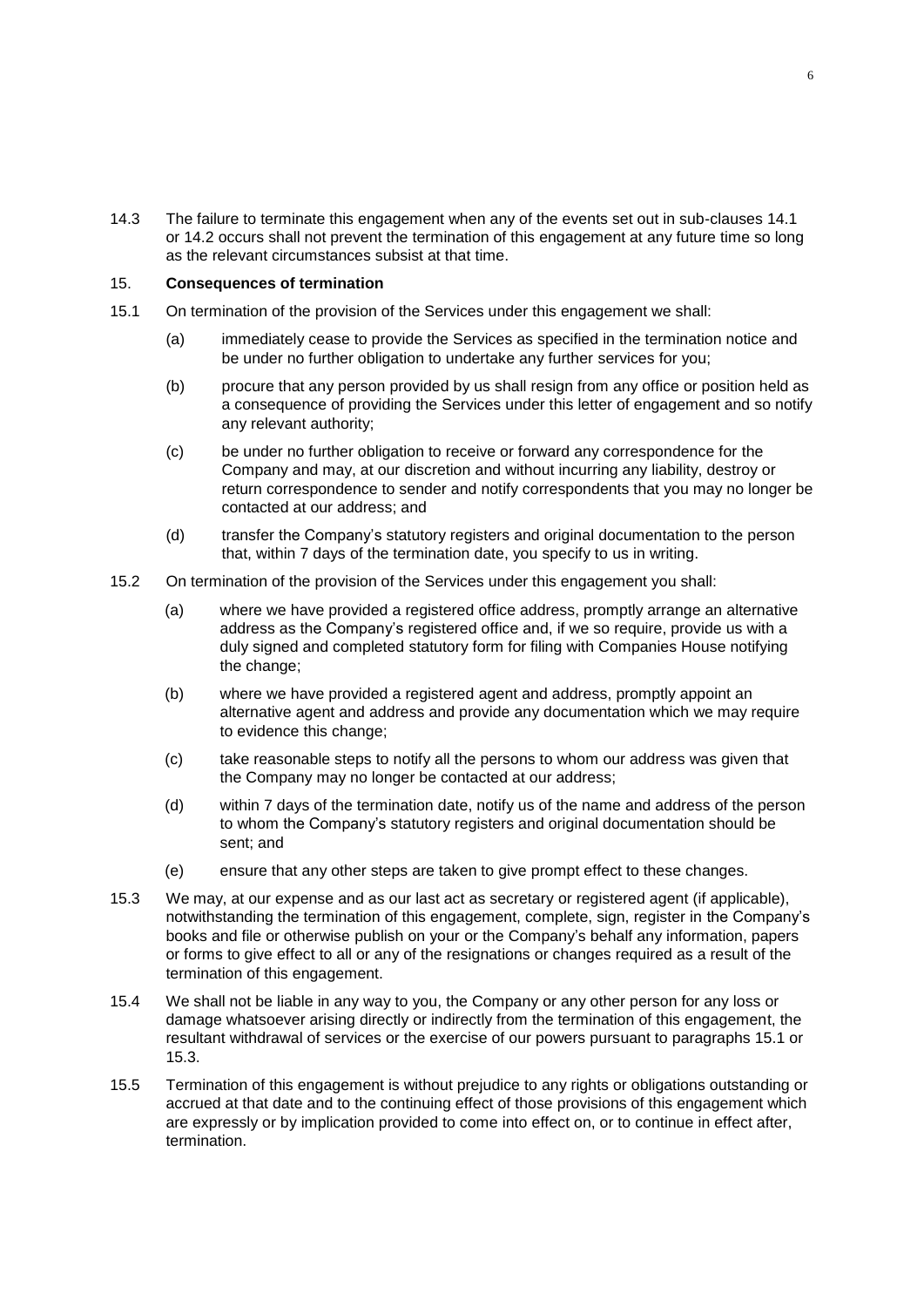14.3 The failure to terminate this engagement when any of the events set out in sub-clauses 14.1 or 14.2 occurs shall not prevent the termination of this engagement at any future time so long as the relevant circumstances subsist at that time.

## 15. **Consequences of termination**

- 15.1 On termination of the provision of the Services under this engagement we shall:
	- (a) immediately cease to provide the Services as specified in the termination notice and be under no further obligation to undertake any further services for you;
	- (b) procure that any person provided by us shall resign from any office or position held as a consequence of providing the Services under this letter of engagement and so notify any relevant authority;
	- (c) be under no further obligation to receive or forward any correspondence for the Company and may, at our discretion and without incurring any liability, destroy or return correspondence to sender and notify correspondents that you may no longer be contacted at our address; and
	- (d) transfer the Company's statutory registers and original documentation to the person that, within 7 days of the termination date, you specify to us in writing.
- 15.2 On termination of the provision of the Services under this engagement you shall:
	- (a) where we have provided a registered office address, promptly arrange an alternative address as the Company's registered office and, if we so require, provide us with a duly signed and completed statutory form for filing with Companies House notifying the change;
	- (b) where we have provided a registered agent and address, promptly appoint an alternative agent and address and provide any documentation which we may require to evidence this change;
	- (c) take reasonable steps to notify all the persons to whom our address was given that the Company may no longer be contacted at our address;
	- (d) within 7 days of the termination date, notify us of the name and address of the person to whom the Company's statutory registers and original documentation should be sent; and
	- (e) ensure that any other steps are taken to give prompt effect to these changes.
- 15.3 We may, at our expense and as our last act as secretary or registered agent (if applicable), notwithstanding the termination of this engagement, complete, sign, register in the Company's books and file or otherwise publish on your or the Company's behalf any information, papers or forms to give effect to all or any of the resignations or changes required as a result of the termination of this engagement.
- 15.4 We shall not be liable in any way to you, the Company or any other person for any loss or damage whatsoever arising directly or indirectly from the termination of this engagement, the resultant withdrawal of services or the exercise of our powers pursuant to paragraphs 15.1 or 15.3.
- 15.5 Termination of this engagement is without prejudice to any rights or obligations outstanding or accrued at that date and to the continuing effect of those provisions of this engagement which are expressly or by implication provided to come into effect on, or to continue in effect after, termination.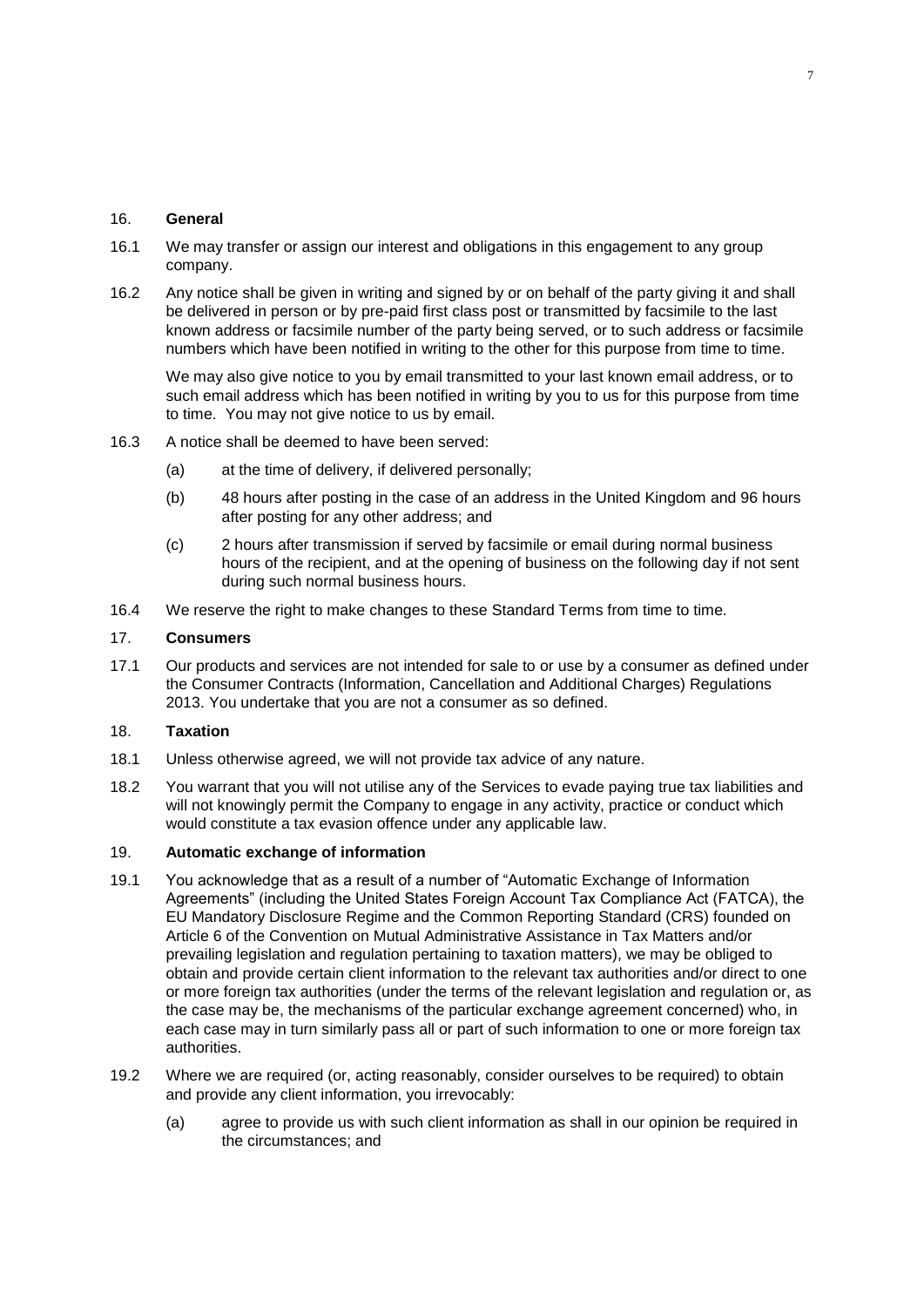#### 16. **General**

- 16.1 We may transfer or assign our interest and obligations in this engagement to any group company.
- 16.2 Any notice shall be given in writing and signed by or on behalf of the party giving it and shall be delivered in person or by pre-paid first class post or transmitted by facsimile to the last known address or facsimile number of the party being served, or to such address or facsimile numbers which have been notified in writing to the other for this purpose from time to time.

We may also give notice to you by email transmitted to your last known email address, or to such email address which has been notified in writing by you to us for this purpose from time to time. You may not give notice to us by email.

- 16.3 A notice shall be deemed to have been served:
	- (a) at the time of delivery, if delivered personally;
	- (b) 48 hours after posting in the case of an address in the United Kingdom and 96 hours after posting for any other address; and
	- (c) 2 hours after transmission if served by facsimile or email during normal business hours of the recipient, and at the opening of business on the following day if not sent during such normal business hours.
- 16.4 We reserve the right to make changes to these Standard Terms from time to time.

## 17. **Consumers**

17.1 Our products and services are not intended for sale to or use by a consumer as defined under the Consumer Contracts (Information, Cancellation and Additional Charges) Regulations 2013. You undertake that you are not a consumer as so defined.

# 18. **Taxation**

- 18.1 Unless otherwise agreed, we will not provide tax advice of any nature.
- 18.2 You warrant that you will not utilise any of the Services to evade paying true tax liabilities and will not knowingly permit the Company to engage in any activity, practice or conduct which would constitute a tax evasion offence under any applicable law.

#### 19. **Automatic exchange of information**

- 19.1 You acknowledge that as a result of a number of "Automatic Exchange of Information Agreements" (including the United States Foreign Account Tax Compliance Act (FATCA), the EU Mandatory Disclosure Regime and the Common Reporting Standard (CRS) founded on Article 6 of the Convention on Mutual Administrative Assistance in Tax Matters and/or prevailing legislation and regulation pertaining to taxation matters), we may be obliged to obtain and provide certain client information to the relevant tax authorities and/or direct to one or more foreign tax authorities (under the terms of the relevant legislation and regulation or, as the case may be, the mechanisms of the particular exchange agreement concerned) who, in each case may in turn similarly pass all or part of such information to one or more foreign tax authorities.
- 19.2 Where we are required (or, acting reasonably, consider ourselves to be required) to obtain and provide any client information, you irrevocably:
	- (a) agree to provide us with such client information as shall in our opinion be required in the circumstances; and